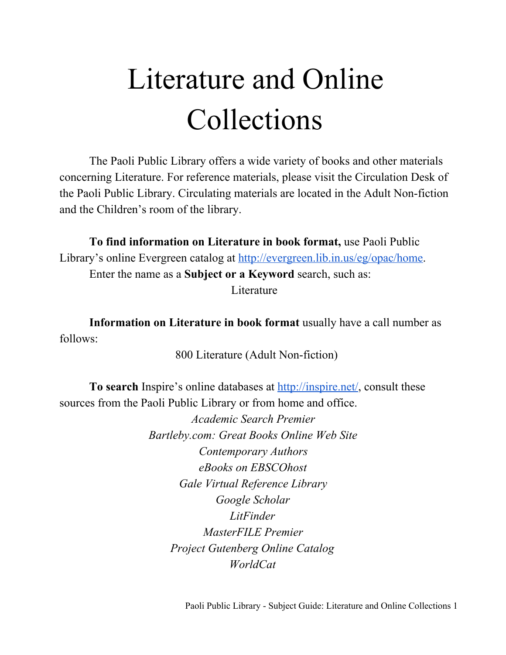## Literature and Online Collections

The Paoli Public Library offers a wide variety of books and other materials concerning Literature. For reference materials, please visit the Circulation Desk of the Paoli Public Library. Circulating materials are located in the Adult Non-fiction and the Children's room of the library.

**To find information on Literature in book format,** use Paoli Public Library's online Evergreen catalog at [http://evergreen.lib.in.us/eg/opac/home](http://www.google.com/url?q=http%3A%2F%2Fevergreen.lib.in.us%2Feg%2Fopac%2Fhome&sa=D&sntz=1&usg=AFQjCNGsG5M-fKX2vRjqCLPN7y-hvpw6_w). Enter the name as a **Subject or a Keyword** search, such as: Literature

**Information on Literature in book format** usually have a call number as follows:

800 Literature (Adult Non-fiction)

**To search** Inspire's online databases at [http://inspire.net/,](http://www.google.com/url?q=http%3A%2F%2Finspire.net%2F&sa=D&sntz=1&usg=AFQjCNGmG_5xOU01M_eGdBZ4K6icPucxZA) consult these sources from the Paoli Public Library or from home and office.

> *Academic Search Premier Bartleby.com: Great Books Online Web Site Contemporary Authors eBooks on EBSCOhost Gale Virtual Reference Library Google Scholar LitFinder MasterFILE Premier Project Gutenberg Online Catalog WorldCat*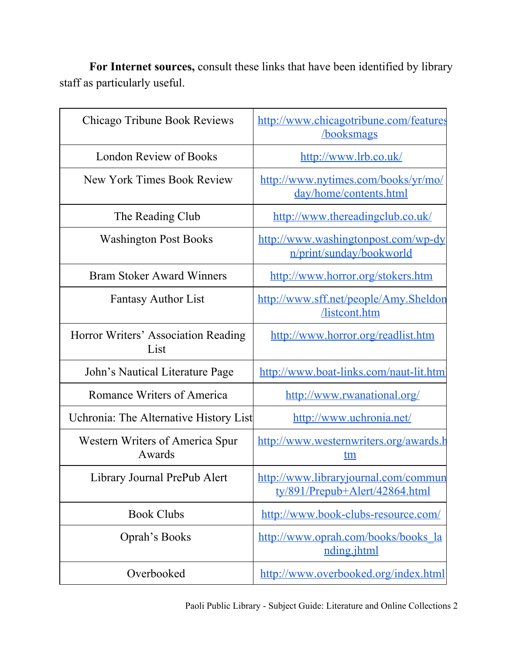**For Internet sources,** consult these links that have been identified by library staff as particularly useful.

| Chicago Tribune Book Reviews                     | http://www.chicagotribune.com/features<br><b>booksmags</b>             |
|--------------------------------------------------|------------------------------------------------------------------------|
| <b>London Review of Books</b>                    | http://www.lrb.co.uk/                                                  |
| New York Times Book Review                       | http://www.nytimes.com/books/yr/mo/<br>day/home/contents.html          |
| The Reading Club                                 | http://www.thereadingclub.co.uk/                                       |
| <b>Washington Post Books</b>                     | http://www.washingtonpost.com/wp-dy<br>n/print/sunday/bookworld        |
| <b>Bram Stoker Award Winners</b>                 | http://www.horror.org/stokers.htm                                      |
| <b>Fantasy Author List</b>                       | http://www.sff.net/people/Amy.Sheldon<br>listcont.htm                  |
| Horror Writers' Association Reading<br>List      | http://www.horror.org/readlist.htm                                     |
| John's Nautical Literature Page                  | http://www.boat-links.com/naut-lit.html                                |
| <b>Romance Writers of America</b>                | http://www.rwanational.org/                                            |
| Uchronia: The Alternative History List           | http://www.uchronia.net/                                               |
| <b>Western Writers of America Spur</b><br>Awards | http://www.westernwriters.org/awards.h<br>tm                           |
| Library Journal PrePub Alert                     | http://www.libraryjournal.com/commun<br>ty/891/Prepub+Alert/42864.html |
| <b>Book Clubs</b>                                | http://www.book-clubs-resource.com/                                    |
| Oprah's Books                                    | http://www.oprah.com/books/books la<br>nding.jhtml                     |
| Overbooked                                       | http://www.overbooked.org/index.html                                   |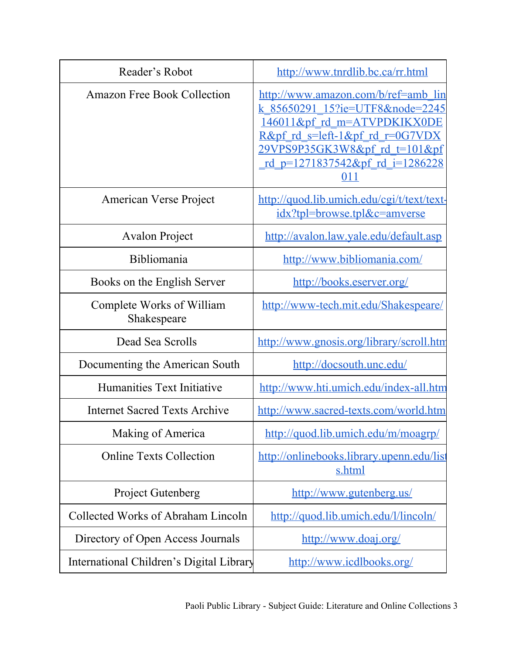| Reader's Robot                           | http://www.tnrdlib.bc.ca/rr.html                                                                                                                                                                                               |
|------------------------------------------|--------------------------------------------------------------------------------------------------------------------------------------------------------------------------------------------------------------------------------|
| <b>Amazon Free Book Collection</b>       | http://www.amazon.com/b/ref=amb_lin<br>k 85650291 15?ie=UTF8&node=2245<br>146011&pf rd m=ATVPDKIKX0DE<br>R&pf rd s=left-1&pf rd r=0G7VDX<br>29VPS9P35GK3W8&pf rd t=101&pf<br><u>rd p=1271837542&amp;pf rd i=1286228</u><br>011 |
| American Verse Project                   | http://quod.lib.umich.edu/cgi/t/text/text-<br>idx?tpl=browse.tpl&c=amverse                                                                                                                                                     |
| <b>Avalon Project</b>                    | http://avalon.law.yale.edu/default.asp                                                                                                                                                                                         |
| Bibliomania                              | http://www.bibliomania.com/                                                                                                                                                                                                    |
| Books on the English Server              | http://books.eserver.org/                                                                                                                                                                                                      |
| Complete Works of William<br>Shakespeare | http://www-tech.mit.edu/Shakespeare/                                                                                                                                                                                           |
| Dead Sea Scrolls                         | http://www.gnosis.org/library/scroll.htm                                                                                                                                                                                       |
| Documenting the American South           | http://docsouth.unc.edu/                                                                                                                                                                                                       |
| Humanities Text Initiative               | http://www.hti.umich.edu/index-all.htm                                                                                                                                                                                         |
| <b>Internet Sacred Texts Archive</b>     | http://www.sacred-texts.com/world.htm                                                                                                                                                                                          |
| Making of America                        | http://quod.lib.umich.edu/m/moagrp/                                                                                                                                                                                            |
| <b>Online Texts Collection</b>           | http://onlinebooks.library.upenn.edu/list<br>s.html                                                                                                                                                                            |
| <b>Project Gutenberg</b>                 | http://www.gutenberg.us/                                                                                                                                                                                                       |
| Collected Works of Abraham Lincoln       | http://quod.lib.umich.edu/l/lincoln/                                                                                                                                                                                           |
| Directory of Open Access Journals        | http://www.doaj.org/                                                                                                                                                                                                           |
| International Children's Digital Library | http://www.icdlbooks.org/                                                                                                                                                                                                      |